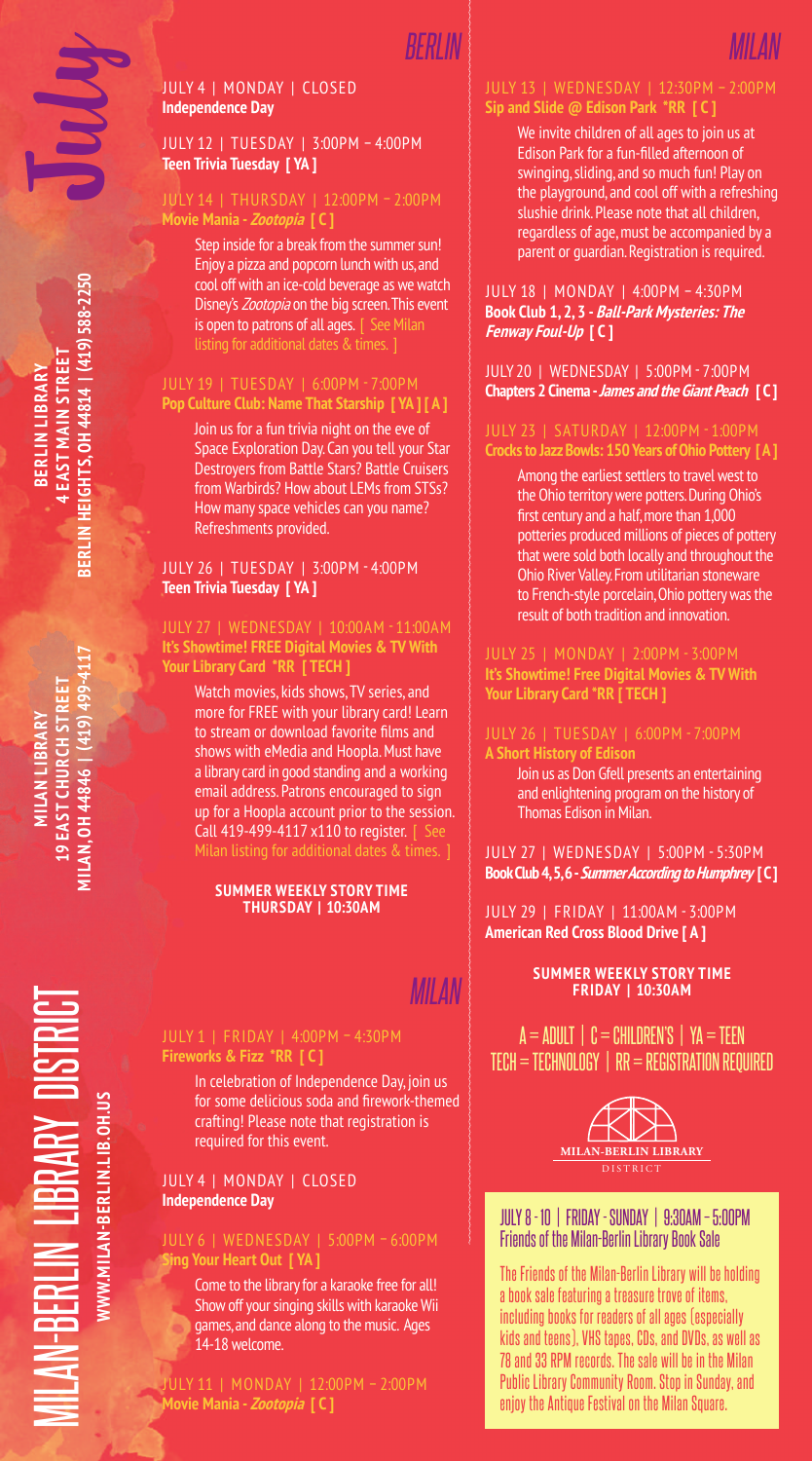## July 4 | Monday | CLOSED **Independence Day**

## July 12 | Tuesday | 3:00pm – 4:00pm **Teen Trivia Tuesday [ YA ]**

## July 14 | Thursday | 12:00pm – 2:00pm **Movie Mania - Zootopia [ C ]**

Step inside for a break from the summer sun! Enjoy a pizza and popcorn lunch with us, and cool off with an ice-cold beverage as we watch Disney's Zootopia on the big screen. This event is open to patrons of all ages. | See Milan listing for additional dates & times. ]

## July 19 | Tuesday | 6:00pm - 7:00pm **Pop Culture Club: Name That Starship [ YA ] [ A ]**

Join us for a fun trivia night on the eve of Space Exploration Day. Can you tell your Star Destroyers from Battle Stars? Battle Cruisers from Warbirds? How about LEMs from STSs? How many space vehicles can you name? Refreshments provided.

## July 26 | Tuesday | 3:00pm - 4:00pm **Teen Trivia Tuesday [ YA ]**

#### July 27 | Wednesday | 10:00am - 11:00am **It's Showtime! FREE Digital Movies & TV With Your Library Card \*RR [ TECH ]**

Watch movies, kids shows, TV series, and more for FREE with your library card! Learn to stream or download favorite films and shows with eMedia and Hoopla. Must have a library card in good standing and a working email address. Patrons encouraged to sign up for a Hoopla account prior to the session. Call 419-499-4117 x110 to register. [ See

#### **Summer Weekly Story Time Thursday | 10:30AM**

## **Fireworks & Fizz \*RR [ C ]**

In celebration of Independence Day, join us for some delicious soda and firework-themed crafting! Please note that registration is required for this event.

## July 4 | Monday | CLOSED **Independence Day**

## July 6 | Wednesday | 5:00pm – 6:00pm **Sing Your Heart Out [ YA ]**

Come to the library for a karaoke free for all! Show off your singing skills with karaoke Wii games, and dance along to the music. Ages 14-18 welcome.

July 11 | Monday | 12:00pm – 2:00pm **Movie Mania - Zootopia [ C ]**

# **Sip and Slide @ Edison Park \*RR [ C ]**

We invite children of all ages to join us at Edison Park for a fun-filled afternoon of swinging, sliding, and so much fun! Play on the playground, and cool off with a refreshing slushie drink. Please note that all children, regardless of age, must be accompanied by a parent or guardian. Registration is required.

## July 18 | Monday | 4:00pm – 4:30pm **Book Club 1, 2, 3 - Ball-Park Mysteries: The Fenway Foul-Up [ C ]**

### July 20 | Wednesday | 5:00pm - 7:00pm **Chapters 2 Cinema - James and the Giant Peach [ C ]**

## **Crocks to Jazz Bowls: 150 Years of Ohio Pottery [ A ]**

Among the earliest settlers to travel west to the Ohio territory were potters. During Ohio's first century and a half, more than 1,000 potteries produced millions of pieces of pottery that were sold both locally and throughout the Ohio River Valley. From utilitarian stoneware to French-style porcelain, Ohio pottery was the result of both tradition and innovation.

**It's Showtime! Free Digital Movies & TV With Your Library Card \*RR [ TECH ]**

## **A Short History of Edison**

Join us as Don Gfell presents an entertaining and enlightening program on the history of Thomas Edison in Milan.

July 27 | Wednesday | 5:00pm - 5:30pm **Book Club 4, 5, 6 - Summer According to Humphrey [ C ]**

July 29 | Friday | 11:00am - 3:00pm **American Red Cross Blood Drive [ A ]**

### **Summer Weekly Story Time FRIDAY | 10:30AM** *Milan*

a = adult | C = children's | YA = Teen Tech = technology | RR = Registration Required



## July 8 - 10 | Friday - Sunday | 9:30am – 5:00pm Friends of the Milan-Berlin Library Book Sale

The Friends of the Milan-Berlin Library will be holding a book sale featuring a treasure trove of items, including books for readers of all ages (especially kids and teens), VHS tapes, CDs, and DVDs, as well as 78 and 33 RPM records. The sale will be in the Milan Public Library Community Room. Stop in Sunday, and enjoy the Antique Festival on the Milan Square.

July

**Milan, OH 44846 | (419) 499-4117 LAN, OH 44846 | (219) 4994 19 East Church Street 9 EAST CHURCH STRI Milan Library MILAN LIBRAR** 

 $\overline{\phantom{a}}$ c p Distri VWW.MILAN-BERLIN.LIB.OH.US **www.milan-berlin.lib.oh.us**  $\succ$ **Library** Milan-Berlin

*Milan*